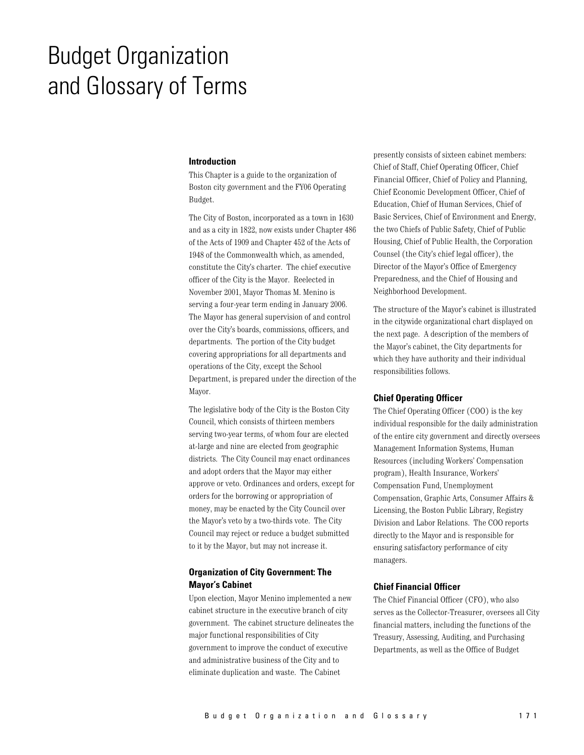# **Budget Organization** and Glossary of Terms

#### **Introduction**

This Chapter is a guide to the organization of Boston city government and the FY06 Operating Budget.

The City of Boston, incorporated as a town in 1630 and as a city in 1822, now exists under Chapter 486 of the Acts of 1909 and Chapter 452 of the Acts of 1948 of the Commonwealth which, as amended, constitute the City's charter. The chief executive officer of the City is the Mayor. Reelected in November 2001, Mayor Thomas M. Menino is serving a four-year term ending in January 2006. The Mayor has general supervision of and control over the City's boards, commissions, officers, and departments. The portion of the City budget covering appropriations for all departments and operations of the City, except the School Department, is prepared under the direction of the Mayor.

The legislative body of the City is the Boston City Council, which consists of thirteen members serving two-year terms, of whom four are elected at-large and nine are elected from geographic districts. The City Council may enact ordinances and adopt orders that the Mayor may either approve or veto. Ordinances and orders, except for orders for the borrowing or appropriation of money, may be enacted by the City Council over the Mayor's veto by a two-thirds vote. The City Council may reject or reduce a budget submitted to it by the Mayor, but may not increase it.

# **Organization of City Government: The Mayor's Cabinet**

Upon election, Mayor Menino implemented a new cabinet structure in the executive branch of city government. The cabinet structure delineates the major functional responsibilities of City government to improve the conduct of executive and administrative business of the City and to eliminate duplication and waste. The Cabinet

presently consists of sixteen cabinet members: Chief of Staff, Chief Operating Officer, Chief Financial Officer, Chief of Policy and Planning, Chief Economic Development Officer, Chief of Education, Chief of Human Services, Chief of Basic Services, Chief of Environment and Energy. the two Chiefs of Public Safety, Chief of Public Housing, Chief of Public Health, the Corporation Counsel (the City's chief legal officer), the Director of the Mayor's Office of Emergency Preparedness, and the Chief of Housing and Neighborhood Development.

The structure of the Mayor's cabinet is illustrated in the citywide organizational chart displayed on the next page. A description of the members of the Mayor's cabinet, the City departments for which they have authority and their individual responsibilities follows.

## **Chief Operating Officer**

The Chief Operating Officer (COO) is the key individual responsible for the daily administration of the entire city government and directly oversees Management Information Systems, Human Resources (including Workers' Compensation program), Health Insurance, Workers' Compensation Fund, Unemployment Compensation, Graphic Arts, Consumer Affairs & Licensing, the Boston Public Library, Registry Division and Labor Relations. The COO reports directly to the Mayor and is responsible for ensuring satisfactory performance of city managers.

## **Chief Financial Officer**

The Chief Financial Officer (CFO), who also serves as the Collector-Treasurer, oversees all City financial matters, including the functions of the Treasury, Assessing, Auditing, and Purchasing Departments, as well as the Office of Budget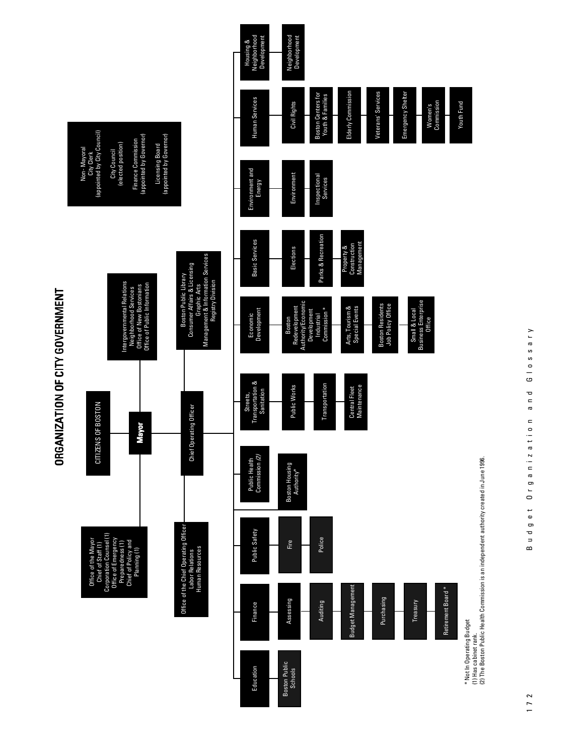



 $\omega$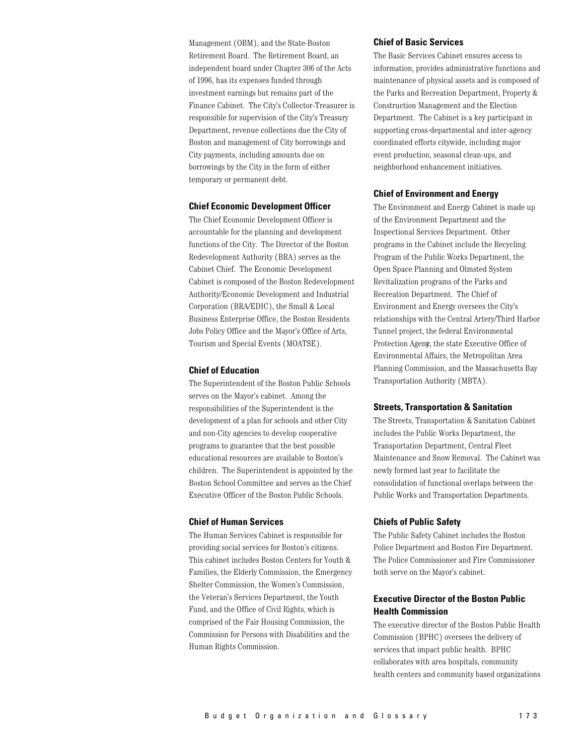Management (OBM), and the State-Boston Retirement Board. The Retirement Board, an independent board under Chapter 306 of the Acts of 1996, has its expenses funded through investment earnings but remains part of the Finance Cabinet. The City's Collector-Treasurer is responsible for supervision of the City's Treasury Department, revenue collections due the City of Boston and management of City borrowings and City payments, including amounts due on borrowings by the City in the form of either temporary or permanent debt.

#### **Chief Economic Development Officer**

The Chief Economic Development Officer is accountable for the planning and development functions of the City. The Director of the Boston Redevelopment Authority (BRA) serves as the Cabinet Chief. The Economic Development Cabinet is composed of the Boston Redevelopment Authority/Economic Development and Industrial Corporation (BRA/EDIC), the Small & Local Business Enterprise Office, the Boston Residents Jobs Policy Office and the Mayor's Office of Arts, Tourism and Special Events (MOATSE).

## **Chief of Education**

The Superintendent of the Boston Public Schools serves on the Mayor's cabinet. Among the responsibilities of the Superintendent is the development of a plan for schools and other City and non-City agencies to develop cooperative programs to guarantee that the best possible educational resources are available to Boston's children. The Superintendent is appointed by the Boston School Committee and serves as the Chief Executive Officer of the Boston Public Schools.

## **Chief of Human Services**

The Human Services Cabinet is responsible for providing social services for Boston's citizens. This cabinet includes Boston Centers for Youth & Families, the Elderly Commission, the Emergency Shelter Commission, the Women's Commission, the Veteran's Services Department, the Youth Fund, and the Office of Civil Rights, which is comprised of the Fair Housing Commission, the Commission for Persons with Disabilities and the Human Rights Commission.

#### **Chief of Basic Services**

The Basic Services Cabinet ensures access to information, provides administrative functions and maintenance of physical assets and is composed of the Parks and Recreation Department, Property & Construction Management and the Election Department. The Cabinet is a key participant in supporting cross-departmental and inter-agency coordinated efforts citywide, including major event production, seasonal clean-ups, and neighborhood enhancement initiatives.

## **Chief of Environment and Energy**

The Environment and Energy Cabinet is made up of the Environment Department and the Inspectional Services Department. Other programs in the Cabinet include the Recycling Program of the Public Works Department, the Open Space Planning and Olmsted System Revitalization programs of the Parks and Recreation Department. The Chief of Environment and Energy oversees the City's relationships with the Central Artery/Third Harbor Tunnel project, the federal Environmental Protection Ageny, the state Executive Office of Environmental Affairs, the Metropolitan Area Planning Commission, and the Massachusetts Bay Transportation Authority (MBTA).

#### **Streets, Transportation & Sanitation**

The Streets, Transportation & Sanitation Cabinet includes the Public Works Department, the Transportation Department, Central Fleet Maintenance and Snow Removal. The Cabinet was newly formed last year to facilitate the consolidation of functional overlaps between the Public Works and Transportation Departments.

## **Chiefs of Public Safety**

The Public Safety Cabinet includes the Boston Police Department and Boston Fire Department. The Police Commissioner and Fire Commissioner both serve on the Mayor's cabinet.

# **Executive Director of the Boston Public Health Commission**

The executive director of the Boston Public Health Commission (BPHC) oversees the delivery of services that impact public health. BPHC collaborates with area hospitals, community health centers and community based organizations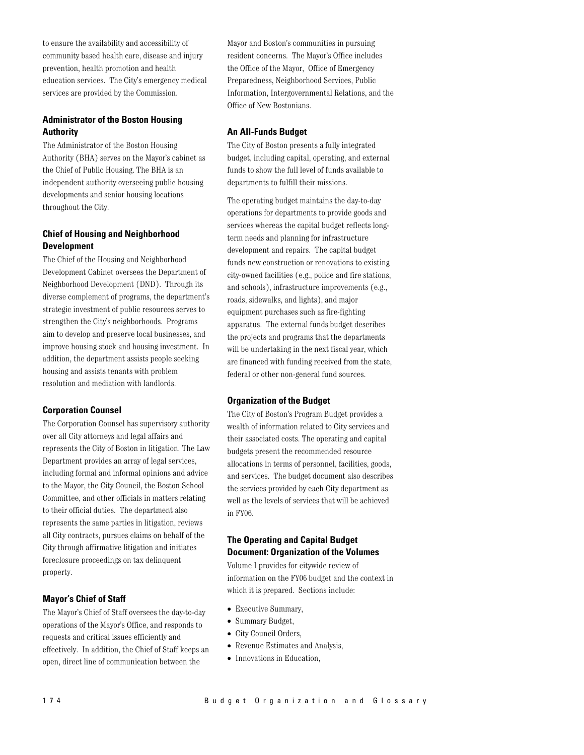to ensure the availability and accessibility of community based health care, disease and injury prevention, health promotion and health education services. The City's emergency medical services are provided by the Commission.

# **Administrator of the Boston Housing Authority**

The Administrator of the Boston Housing Authority (BHA) serves on the Mayor's cabinet as the Chief of Public Housing. The BHA is an independent authority overseeing public housing developments and senior housing locations throughout the City.

# **Chief of Housing and Neighborhood Development**

The Chief of the Housing and Neighborhood Development Cabinet oversees the Department of Neighborhood Development (DND). Through its diverse complement of programs, the department's strategic investment of public resources serves to strengthen the City's neighborhoods. Programs aim to develop and preserve local businesses, and improve housing stock and housing investment. In addition, the department assists people seeking housing and assists tenants with problem resolution and mediation with landlords.

## **Corporation Counsel**

The Corporation Counsel has supervisory authority over all City attorneys and legal affairs and represents the City of Boston in litigation. The Law Department provides an array of legal services, including formal and informal opinions and advice to the Mayor, the City Council, the Boston School Committee, and other officials in matters relating to their official duties. The department also represents the same parties in litigation, reviews all City contracts, pursues claims on behalf of the City through affirmative litigation and initiates foreclosure proceedings on tax delinquent property.

## **Mayor's Chief of Staff**

The Mayor's Chief of Staff oversees the day-to-day operations of the Mayor's Office, and responds to requests and critical issues efficiently and effectively. In addition, the Chief of Staff keeps an open, direct line of communication between the

Mayor and Boston's communities in pursuing resident concerns. The Mayor's Office includes the Office of the Mayor, Office of Emergency Preparedness, Neighborhood Services, Public Information, Intergovernmental Relations, and the Office of New Bostonians.

## **An All-Funds Budget**

The City of Boston presents a fully integrated budget, including capital, operating, and external funds to show the full level of funds available to departments to fulfill their missions.

The operating budget maintains the day-to-day operations for departments to provide goods and services whereas the capital budget reflects longterm needs and planning for infrastructure development and repairs. The capital budget funds new construction or renovations to existing city-owned facilities (e.g., police and fire stations, and schools), infrastructure improvements (e.g., roads, sidewalks, and lights), and major equipment purchases such as fire-fighting apparatus. The external funds budget describes the projects and programs that the departments will be undertaking in the next fiscal year, which are financed with funding received from the state, federal or other non-general fund sources.

## **Organization of the Budget**

The City of Boston's Program Budget provides a wealth of information related to City services and their associated costs. The operating and capital budgets present the recommended resource allocations in terms of personnel, facilities, goods, and services. The budget document also describes the services provided by each City department as well as the levels of services that will be achieved in FY06.

# **The Operating and Capital Budget Document: Organization of the Volumes**

Volume I provides for citywide review of information on the FY06 budget and the context in which it is prepared. Sections include:

- Executive Summary,
- Summary Budget,
- City Council Orders,
- Revenue Estimates and Analysis,
- Innovations in Education,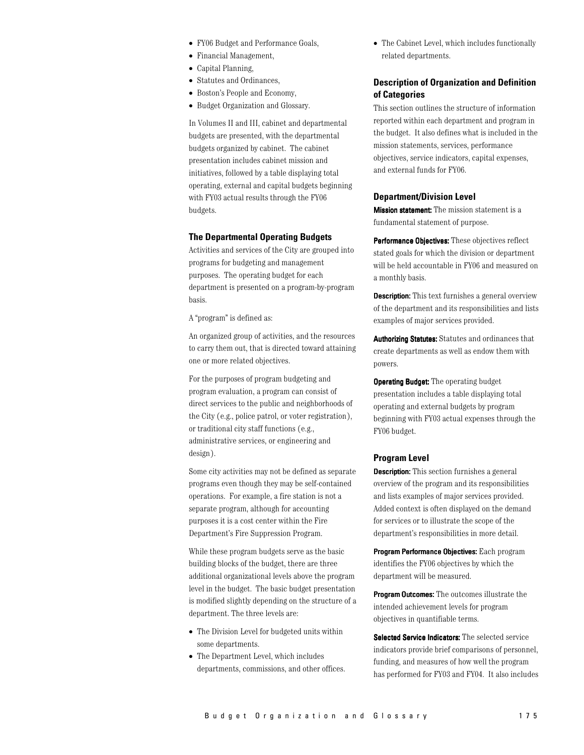- FY06 Budget and Performance Goals,
- Financial Management,
- Capital Planning,
- Statutes and Ordinances,
- Boston's People and Economy,
- Budget Organization and Glossary.

In Volumes II and III, cabinet and departmental budgets are presented, with the departmental budgets organized by cabinet. The cabinet presentation includes cabinet mission and initiatives, followed by a table displaying total operating, external and capital budgets beginning with FY03 actual results through the FY06 budgets.

## **The Departmental Operating Budgets**

Activities and services of the City are grouped into programs for budgeting and management purposes. The operating budget for each department is presented on a program-by-program basis.

A "program" is defined as:

An organized group of activities, and the resources to carry them out, that is directed toward attaining one or more related objectives.

For the purposes of program budgeting and program evaluation, a program can consist of direct services to the public and neighborhoods of the City (e.g., police patrol, or voter registration), or traditional city staff functions (e.g., administrative services, or engineering and  $design$ ).

Some city activities may not be defined as separate programs even though they may be self-contained operations. For example, a fire station is not a separate program, although for accounting purposes it is a cost center within the Fire Department's Fire Suppression Program.

While these program budgets serve as the basic building blocks of the budget, there are three additional organizational levels above the program level in the budget. The basic budget presentation is modified slightly depending on the structure of a department. The three levels are:

- The Division Level for budgeted units within some departments.
- The Department Level, which includes departments, commissions, and other offices.

• The Cabinet Level, which includes functionally related departments.

## **Description of Organization and Definition** of Categories

This section outlines the structure of information reported within each department and program in the budget. It also defines what is included in the mission statements, services, performance objectives, service indicators, capital expenses, and external funds for FY06.

#### **Department/Division Level**

Mission statement: The mission statement is a fundamental statement of purpose.

Performance Objectives: These objectives reflect stated goals for which the division or department will be held accountable in FY06 and measured on a monthly basis.

**Description:** This text furnishes a general overview of the department and its responsibilities and lists examples of major services provided.

**Authorizing Statutes:** Statutes and ordinances that create departments as well as endow them with powers.

**Operating Budget:** The operating budget presentation includes a table displaying total operating and external budgets by program beginning with FY03 actual expenses through the FY06 budget.

#### **Program Level**

**Description:** This section furnishes a general overview of the program and its responsibilities and lists examples of major services provided. Added context is often displayed on the demand for services or to illustrate the scope of the department's responsibilities in more detail.

Program Performance Objectives: Each program identifies the FY06 objectives by which the department will be measured.

**Program Outcomes:** The outcomes illustrate the intended achievement levels for program objectives in quantifiable terms.

Selected Service Indicators: The selected service indicators provide brief comparisons of personnel, funding, and measures of how well the program has performed for FY03 and FY04. It also includes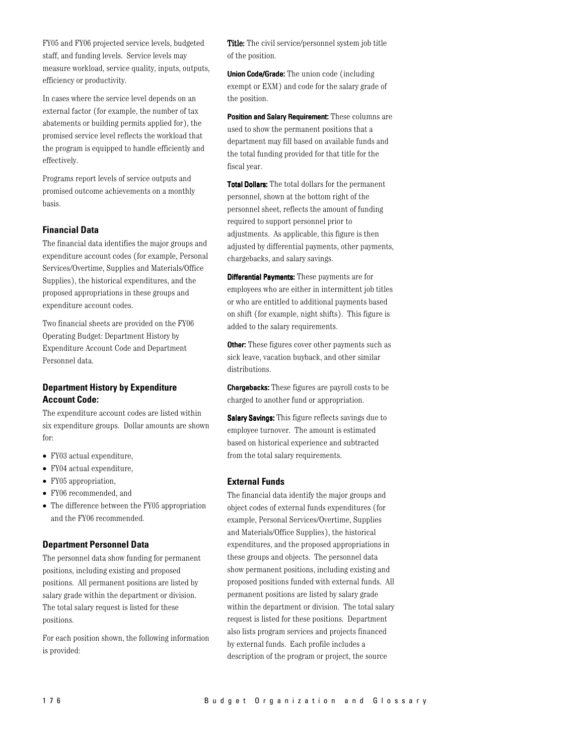FY05 and FY06 projected service levels, budgeted staff, and funding levels. Service levels may measure workload, service quality, inputs, outputs, efficiency or productivity.

In cases where the service level depends on an external factor (for example, the number of tax abatements or building permits applied for), the promised service level reflects the workload that the program is equipped to handle efficiently and effectively.

Programs report levels of service outputs and promised outcome achievements on a monthly basis.

## **Financial Data**

The financial data identifies the major groups and expenditure account codes (for example, Personal Services/Overtime, Supplies and Materials/Office Supplies), the historical expenditures, and the proposed appropriations in these groups and expenditure account codes.

Two financial sheets are provided on the FY06 Operating Budget: Department History by Expenditure Account Code and Department Personnel data.

# **Department History by Expenditure Account Code:**

The expenditure account codes are listed within six expenditure groups. Dollar amounts are shown for:

- $\bullet$  FY03 actual expenditure,
- $\bullet$  FY04 actual expenditure.
- FY05 appropriation,
- FY06 recommended, and
- $\bullet$  The difference between the FY05 appropriation and the FY06 recommended.

## **Department Personnel Data**

The personnel data show funding for permanent positions, including existing and proposed positions. All permanent positions are listed by salary grade within the department or division. The total salary request is listed for these positions.

For each position shown, the following information is provided:

Title: The civil service/personnel system job title of the position.

**Union Code/Grade:** The union code (including exempt or EXM) and code for the salary grade of the position.

Position and Salary Requirement: These columns are used to show the permanent positions that a department may fill based on available funds and the total funding provided for that title for the fiscal year.

Total Dollars: The total dollars for the permanent personnel, shown at the bottom right of the personnel sheet, reflects the amount of funding required to support personnel prior to adjustments. As applicable, this figure is then adjusted by differential payments, other payments, chargebacks, and salary savings.

**Differential Payments:** These payments are for employees who are either in intermittent job titles or who are entitled to additional payments based on shift (for example, night shifts). This figure is added to the salary requirements.

Other: These figures cover other payments such as sick leave, vacation buyback, and other similar distributions.

**Chargebacks:** These figures are payroll costs to be charged to another fund or appropriation.

**Salary Savings:** This figure reflects savings due to employee turnover. The amount is estimated based on historical experience and subtracted from the total salary requirements.

## **External Funds**

The financial data identify the major groups and object codes of external funds expenditures (for example, Personal Services/Overtime, Supplies and Materials/Office Supplies), the historical expenditures, and the proposed appropriations in these groups and objects. The personnel data show permanent positions, including existing and proposed positions funded with external funds. All permanent positions are listed by salary grade within the department or division. The total salary request is listed for these positions. Department also lists program services and projects financed by external funds. Each profile includes a description of the program or project, the source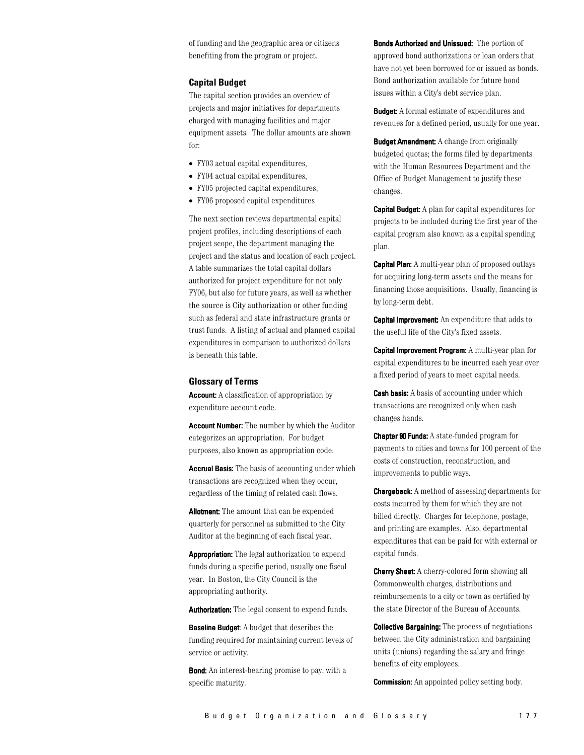of funding and the geographic area or citizens benefiting from the program or project.

## **Capital Budget**

The capital section provides an overview of projects and major initiatives for departments charged with managing facilities and major equipment assets. The dollar amounts are shown for:

- FY03 actual capital expenditures,
- FY04 actual capital expenditures,
- FY05 projected capital expenditures,
- FY06 proposed capital expenditures

The next section reviews departmental capital project profiles, including descriptions of each project scope, the department managing the project and the status and location of each project. A table summarizes the total capital dollars authorized for project expenditure for not only FY06, but also for future years, as well as whether the source is City authorization or other funding such as federal and state infrastructure grants or trust funds. A listing of actual and planned capital expenditures in comparison to authorized dollars is beneath this table.

## **Glossary of Terms**

**Account:** A classification of appropriation by expenditure account code.

**Account Number:** The number by which the Auditor categorizes an appropriation. For budget purposes, also known as appropriation code.

**Accrual Basis:** The basis of accounting under which transactions are recognized when they occur, regardless of the timing of related cash flows.

**Allotment:** The amount that can be expended quarterly for personnel as submitted to the City Auditor at the beginning of each fiscal year.

Appropriation: The legal authorization to expend funds during a specific period, usually one fiscal year. In Boston, the City Council is the appropriating authority.

**Authorization:** The legal consent to expend funds.

**Baseline Budget:** A budget that describes the funding required for maintaining current levels of service or activity.

Bond: An interest-bearing promise to pay, with a specific maturity.

Bonds Authorized and Unissued: The portion of approved bond authorizations or loan orders that have not yet been borrowed for or issued as bonds. Bond authorization available for future bond issues within a City's debt service plan.

**Budget:** A formal estimate of expenditures and revenues for a defined period, usually for one year.

**Budget Amendment:** A change from originally budgeted quotas; the forms filed by departments with the Human Resources Department and the Office of Budget Management to justify these changes.

**Capital Budget:** A plan for capital expenditures for projects to be included during the first year of the capital program also known as a capital spending plan.

**Capital Plan:** A multi-vear plan of proposed outlays for acquiring long-term assets and the means for financing those acquisitions. Usually, financing is by long-term debt.

**Capital Improvement:** An expenditure that adds to the useful life of the City's fixed assets.

**Capital Improvement Program:** A multi-year plan for capital expenditures to be incurred each year over a fixed period of years to meet capital needs.

**Cash basis:** A basis of accounting under which transactions are recognized only when cash changes hands.

**Chapter 90 Funds:** A state-funded program for payments to cities and towns for 100 percent of the costs of construction, reconstruction, and improvements to public ways.

**Chargeback:** A method of assessing departments for costs incurred by them for which they are not billed directly. Charges for telephone, postage, and printing are examples. Also, departmental expenditures that can be paid for with external or capital funds.

**Cherry Sheet:** A cherry-colored form showing all Commonwealth charges, distributions and reimbursements to a city or town as certified by the state Director of the Bureau of Accounts.

**Collective Bargaining:** The process of negotiations between the City administration and bargaining units (unions) regarding the salary and fringe benefits of city employees.

**Commission:** An appointed policy setting body.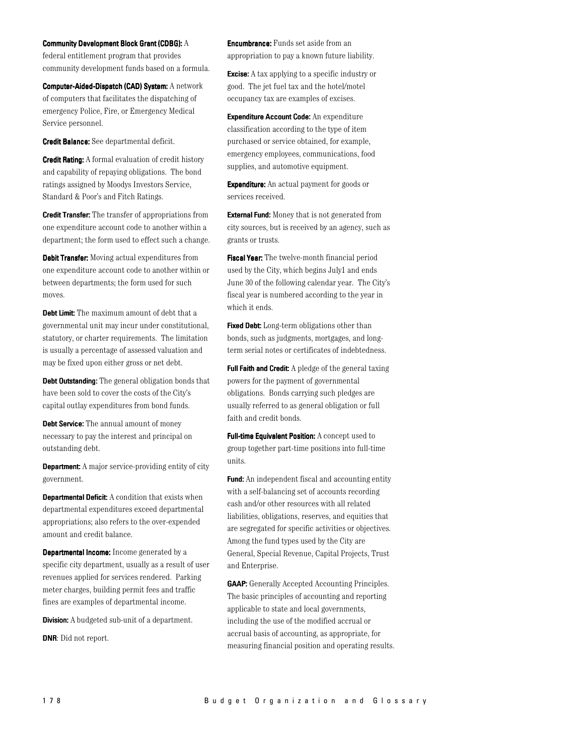**Community Development Block Grant (CDBG): A** 

federal entitlement program that provides community development funds based on a formula.

Computer-Aided-Dispatch (CAD) System: A network of computers that facilitates the dispatching of emergency Police, Fire, or Emergency Medical Service personnel.

Credit Balance: See departmental deficit.

**Credit Rating:** A formal evaluation of credit history and capability of repaying obligations. The bond ratings assigned by Moodys Investors Service, Standard & Poor's and Fitch Ratings.

**Credit Transfer:** The transfer of appropriations from one expenditure account code to another within a department; the form used to effect such a change.

Debit Transfer: Moving actual expenditures from one expenditure account code to another within or between departments; the form used for such moves.

Debt Limit: The maximum amount of debt that a governmental unit may incur under constitutional, statutory, or charter requirements. The limitation is usually a percentage of assessed valuation and may be fixed upon either gross or net debt.

Debt Outstanding: The general obligation bonds that have been sold to cover the costs of the City's capital outlay expenditures from bond funds.

**Debt Service:** The annual amount of money necessary to pay the interest and principal on outstanding debt.

**Department:** A major service-providing entity of city government.

**Departmental Deficit:** A condition that exists when departmental expenditures exceed departmental appropriations; also refers to the over-expended amount and credit balance.

**Departmental Income:** Income generated by a specific city department, usually as a result of user revenues applied for services rendered. Parking meter charges, building permit fees and traffic fines are examples of departmental income.

**Division:** A budgeted sub-unit of a department.

**DNR:** Did not report.

**Encumbrance:** Funds set aside from an appropriation to pay a known future liability.

**Excise:** A tax applying to a specific industry or good. The jet fuel tax and the hotel/motel occupancy tax are examples of excises.

Expenditure Account Code: An expenditure classification according to the type of item purchased or service obtained, for example, emergency employees, communications, food supplies, and automotive equipment.

**Expenditure:** An actual payment for goods or services received.

**External Fund:** Money that is not generated from city sources, but is received by an agency, such as grants or trusts.

Fiscal Year: The twelve-month financial period used by the City, which begins July1 and ends June 30 of the following calendar year. The City's fiscal year is numbered according to the year in which it ends.

Fixed Debt: Long-term obligations other than bonds, such as judgments, mortgages, and longterm serial notes or certificates of indebtedness.

Full Faith and Credit: A pledge of the general taxing powers for the payment of governmental obligations. Bonds carrying such pledges are usually referred to as general obligation or full faith and credit bonds.

Full-time Equivalent Position: A concept used to group together part-time positions into full-time units.

**Fund:** An independent fiscal and accounting entity with a self-balancing set of accounts recording cash and/or other resources with all related liabilities, obligations, reserves, and equities that are segregated for specific activities or objectives. Among the fund types used by the City are General, Special Revenue, Capital Projects, Trust and Enterprise.

**GAAP:** Generally Accepted Accounting Principles. The basic principles of accounting and reporting applicable to state and local governments, including the use of the modified accrual or accrual basis of accounting, as appropriate, for measuring financial position and operating results.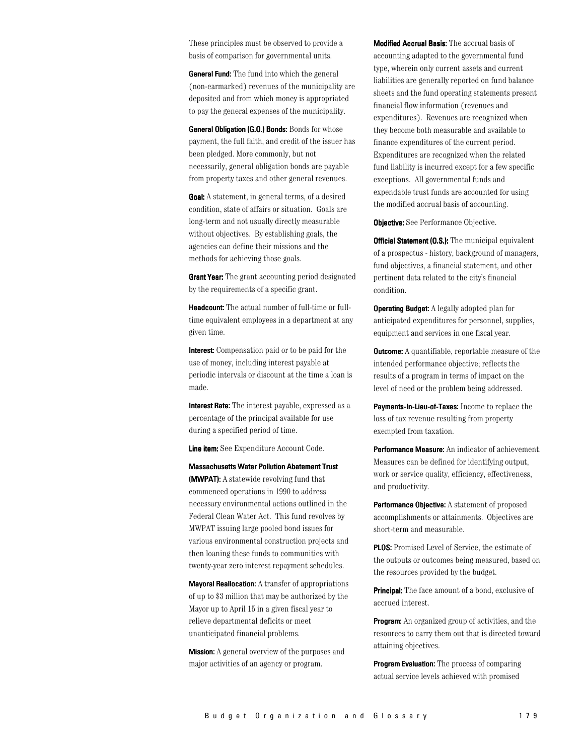These principles must be observed to provide a basis of comparison for governmental units.

**General Fund:** The fund into which the general (non-earmarked) revenues of the municipality are deposited and from which money is appropriated to pay the general expenses of the municipality.

General Obligation (G.O.) Bonds: Bonds for whose payment, the full faith, and credit of the issuer has been pledged. More commonly, but not necessarily, general obligation bonds are payable from property taxes and other general revenues.

**Goal:** A statement, in general terms, of a desired condition, state of affairs or situation. Goals are long-term and not usually directly measurable without objectives. By establishing goals, the agencies can define their missions and the methods for achieving those goals.

**Grant Year:** The grant accounting period designated by the requirements of a specific grant.

**Headcount:** The actual number of full-time or fulltime equivalent employees in a department at any given time.

**Interest:** Compensation paid or to be paid for the use of money, including interest payable at periodic intervals or discount at the time a loan is made.

Interest Rate: The interest payable, expressed as a percentage of the principal available for use during a specified period of time.

Line item: See Expenditure Account Code.

**Massachusetts Water Pollution Abatement Trust** (MWPAT): A statewide revolving fund that commenced operations in 1990 to address necessary environmental actions outlined in the Federal Clean Water Act. This fund revolves by MWPAT issuing large pooled bond issues for various environmental construction projects and then loaning these funds to communities with twenty-year zero interest repayment schedules.

**Mavoral Reallocation:** A transfer of appropriations of up to \$3 million that may be authorized by the Mayor up to April 15 in a given fiscal year to relieve departmental deficits or meet unanticipated financial problems.

**Mission:** A general overview of the purposes and major activities of an agency or program.

Modified Accrual Basis: The accrual basis of accounting adapted to the governmental fund type, wherein only current assets and current liabilities are generally reported on fund balance sheets and the fund operating statements present financial flow information (revenues and expenditures). Revenues are recognized when they become both measurable and available to finance expenditures of the current period. Expenditures are recognized when the related fund liability is incurred except for a few specific exceptions. All governmental funds and expendable trust funds are accounted for using the modified accrual basis of accounting.

**Objective:** See Performance Objective.

**Official Statement (O.S.):** The municipal equivalent of a prospectus - history, background of managers, fund objectives, a financial statement, and other pertinent data related to the city's financial condition.

**Operating Budget:** A legally adopted plan for anticipated expenditures for personnel, supplies, equipment and services in one fiscal year.

**Outcome:** A quantifiable, reportable measure of the intended performance objective; reflects the results of a program in terms of impact on the level of need or the problem being addressed.

Payments-In-Lieu-of-Taxes: Income to replace the loss of tax revenue resulting from property exempted from taxation.

Performance Measure: An indicator of achievement. Measures can be defined for identifying output, work or service quality, efficiency, effectiveness, and productivity.

Performance Objective: A statement of proposed accomplishments or attainments. Objectives are short-term and measurable.

**PLOS:** Promised Level of Service, the estimate of the outputs or outcomes being measured, based on the resources provided by the budget.

**Principal:** The face amount of a bond, exclusive of accrued interest.

**Program:** An organized group of activities, and the resources to carry them out that is directed toward attaining objectives.

**Program Evaluation:** The process of comparing actual service levels achieved with promised